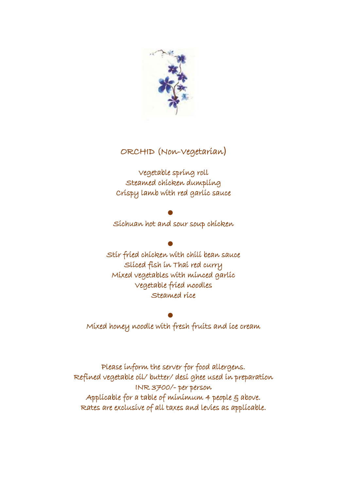

# ORCHID (Non-Vegetarian)

Vegetable spring roll Steamed chicken dumpling Crispy lamb with red garlic sauce

 $\bullet$ Sichuan hot and sour soup chicken

 $\bullet$ Stir fried chicken with chili bean sauce Sliced fish in Thai red curry Mixed vegetables with minced garlic Vegetable fried noodles Steamed rice

 $\bullet$ Mixed honey noodle with fresh fruits and ice cream

Please inform the server for food allergens. Refined vegetable oil/ butter/ desi ghee used in preparation INR 3700/- per person Applicable for a table of minimum 4 people  $S$  above. Rates are exclusive of all taxes and levies as applicable.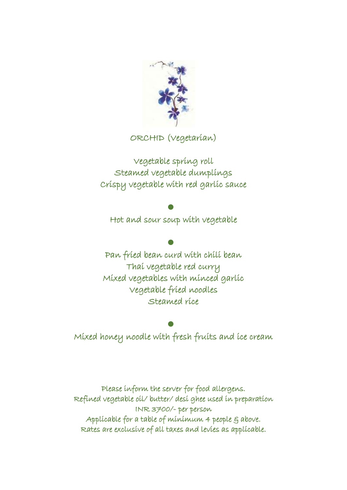

ORCHID (Vegetarian)

Vegetable spring roll Steamed vegetable dumplings Crispy vegetable with red garlic sauce

# $\bullet$

Hot and sour soup with vegetable

 $\bullet$ Pan fried bean curd with chili bean Thai vegetable red curry Mixed vegetables with minced garlic Vegetable fried noodles Steamed rice

 $\bullet$ Mixed honey noodle with fresh fruits and ice cream

Please inform the server for food allergens. Refined vegetable oil/ butter/ desi ghee used in preparation INR 3700/- per person Applicable for a table of minimum 4 people  $\xi$  above. Rates are exclusive of all taxes and levies as applicable.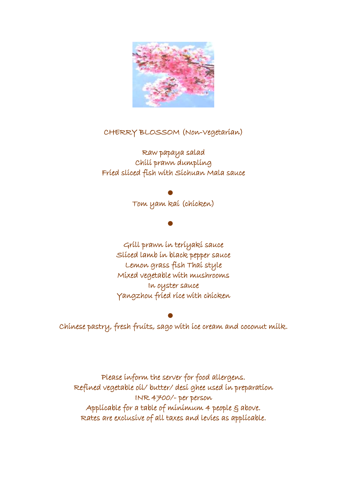

#### CHERRY BLOSSOM (Non-Vegetarian)

Raw papaya salad Chili prawn dumpling Fried sliced fish with Sichuan Mala sauce

#### $\bullet$

Tom yam kai (chicken)

 $\bullet$ 

Grill prawn in teriyaki sauce Sliced lamb in black pepper sauce Lemon grass fish Thai style Mixed vegetable with mushrooms In oyster sauce Yangzhou fried rice with chicken

 $\bullet$ Chinese pastry, fresh fruits, sago with ice cream and coconut milk.

Please inform the server for food allergens. Refined vegetable oil/ butter/ desi ghee used in preparation INR 4700/- per person Applicable for a table of minimum 4 people 5 above. Rates are exclusive of all taxes and levies as applicable.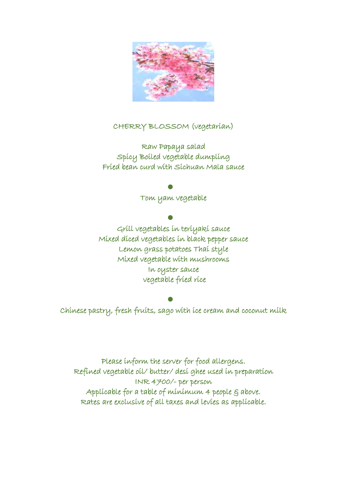

#### CHERRY BLOSSOM (vegetarian)

Raw Papaya salad Spicy Boiled vegetable dumpling Fried bean curd with Sichuan Mala sauce

#### $\bullet$

Tom yam vegetable

#### $\bullet$

Grill vegetables in teriyaki sauce Mixed diced vegetables in black pepper sauce Lemon grass potatoes Thai style Mixed vegetable with mushrooms In oyster sauce vegetable fried rice

#### $\bullet$

Chinese pastry, fresh fruits, sago with ice cream and coconut milk

Please inform the server for food allergens. Refined vegetable oil/ butter/ desi ghee used in preparation INR 4700/- per person Applicable for a table of minimum 4 people 5 above. Rates are exclusive of all taxes and levies as applicable.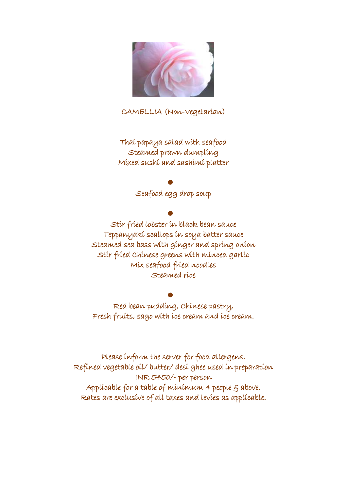

CAMELLIA (Non-Vegetarian)

Thai papaya salad with seafood Steamed prawn dumpling Mixed sushi and sashimi platter

#### $\bullet$

Seafood egg drop soup

### $\bullet$

Stir fried lobster in black bean sauce Teppanyaki scallops in soya batter sauce Steamed sea bass with ginger and spring onion Stir fried Chinese greens with minced garlic Mix seafood fried noodles Steamed rice

#### $\bullet$

Red bean pudding, Chinese pastry, Fresh fruits, sago with ice cream and ice cream.

Please inform the server for food allergens. Refined vegetable oil/ butter/ desi ghee used in preparation INR 5450/- per person Applicable for a table of minimum 4 people 5 above. Rates are exclusive of all taxes and levies as applicable.